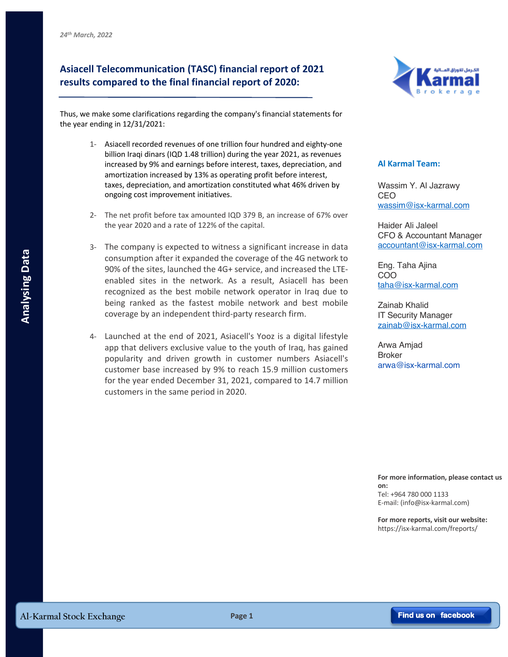## **Asiacell Telecommunication (TASC) financial report of 2021 results compared to the final financial report of 2020:**



Thus, we make some clarifications regarding the company's financial statements for the year ending in 12/31/2021:

- 1- Asiacell recorded revenues of one trillion four hundred and eighty-one billion Iraqi dinars (IQD 1.48 trillion) during the year 2021, as revenues increased by 9% and earnings before interest, taxes, depreciation, and amortization increased by 13% as operating profit before interest, taxes, depreciation, and amortization constituted what 46% driven by ongoing cost improvement initiatives.
- 2- The net profit before tax amounted IQD 379 B, an increase of 67% over the year 2020 and a rate of 122% of the capital.
- 3- The company is expected to witness a significant increase in data consumption after it expanded the coverage of the 4G network to 90% of the sites, launched the 4G+ service, and increased the LTEenabled sites in the network. As a result, Asiacell has been recognized as the best mobile network operator in Iraq due to being ranked as the fastest mobile network and best mobile coverage by an independent third-party research firm. **Example of the state is the standard the coverage of the 4Gs exertic and interacted the ITE-**<br> **Eng. Taha Ajina**<br>
enable actual that is the network. As a result, Asiacell has been completed as the best mobile network oper
	- 4- Launched at the end of 2021, Asiacell's Yooz is a digital lifestyle app that delivers exclusive value to the youth of Iraq, has gained popularity and driven growth in customer numbers Asiacell's customer base increased by 9% to reach 15.9 million customers for the year ended December 31, 2021, compared to 14.7 million customers in the same period in 2020.

## **Al Karmal Team:**

Wassim Y. Al Jazrawy CEO wassim@isx-karmal.com

Haider Ali Jaleel CFO & Accountant Manager accountant@isx-karmal.com

Eng. Taha Ajina COO taha@isx-karmal.com

Zainab Khalid IT Security Manager zainab@isx-karmal.com

Arwa Amjad Broker arwa@isx-karmal.com

## **For more information, please contact us**

**on:** Tel: +964 780 000 1133 E-mail: (info@isx-karmal.com)

**For more reports, visit our website:** https://isx-karmal.com/freports/